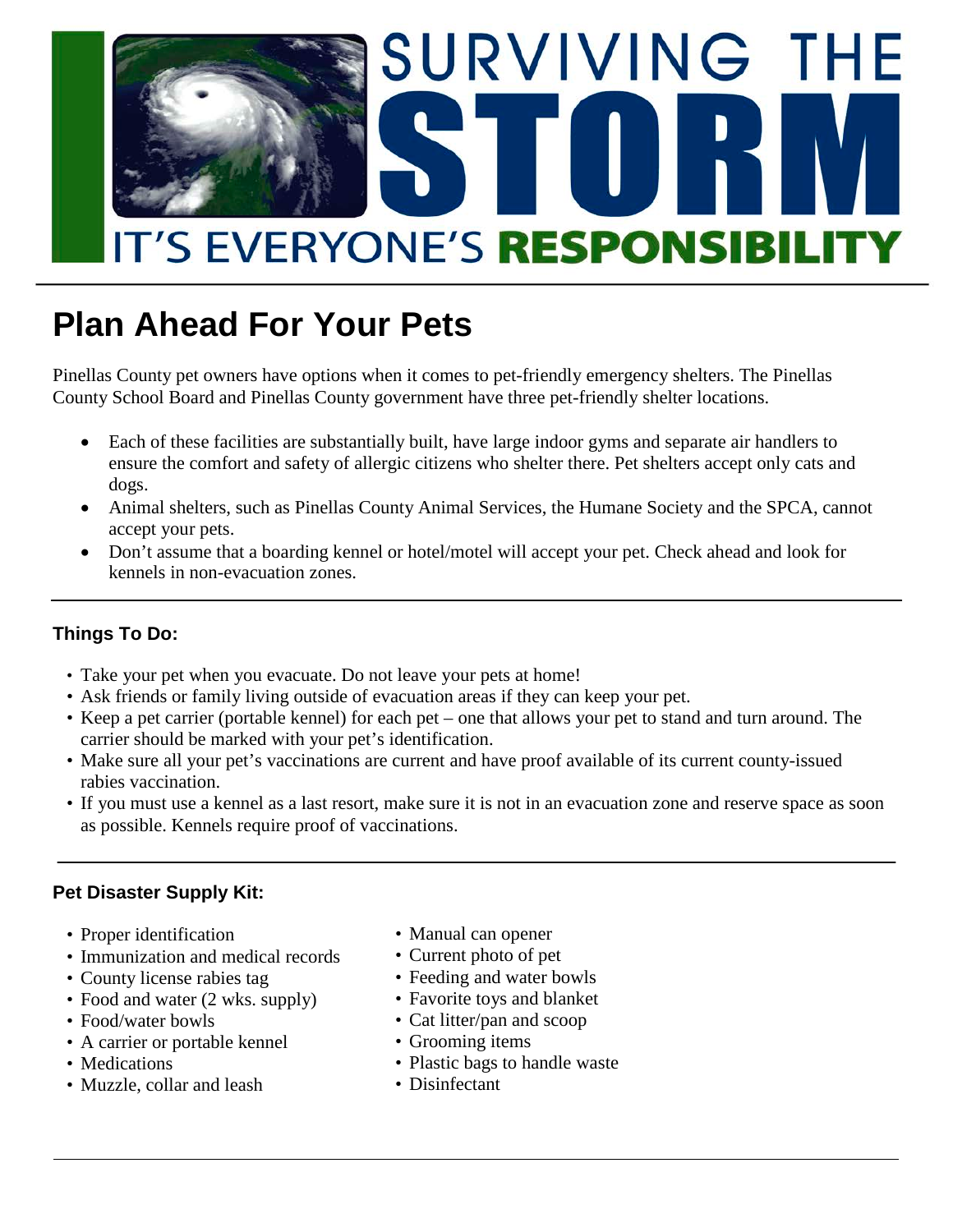

# **Plan Ahead For Your Pets**

Pinellas County pet owners have options when it comes to pet-friendly emergency shelters. The Pinellas County School Board and Pinellas County government have three pet-friendly shelter locations.

- Each of these facilities are substantially built, have large indoor gyms and separate air handlers to ensure the comfort and safety of allergic citizens who shelter there. Pet shelters accept only cats and dogs.
- Animal shelters, such as Pinellas County Animal Services, the Humane Society and the SPCA, cannot accept your pets.
- Don't assume that a boarding kennel or hotel/motel will accept your pet. Check ahead and look for kennels in non-evacuation zones.

#### **Things To Do:**

- Take your pet when you evacuate. Do not leave your pets at home!
- Ask friends or family living outside of evacuation areas if they can keep your pet.
- Keep a pet carrier (portable kennel) for each pet one that allows your pet to stand and turn around. The carrier should be marked with your pet's identification.
- Make sure all your pet's vaccinations are current and have proof available of its current county-issued rabies vaccination.
- If you must use a kennel as a last resort, make sure it is not in an evacuation zone and reserve space as soon as possible. Kennels require proof of vaccinations.

#### **Pet Disaster Supply Kit:**

- Proper identification
- Immunization and medical records
- County license rabies tag
- Food and water (2 wks. supply)
- Food/water bowls
- A carrier or portable kennel
- Medications
- Muzzle, collar and leash
- Manual can opener
- Current photo of pet
- Feeding and water bowls
- Favorite toys and blanket
- Cat litter/pan and scoop
- Grooming items
- Plastic bags to handle waste
- Disinfectant